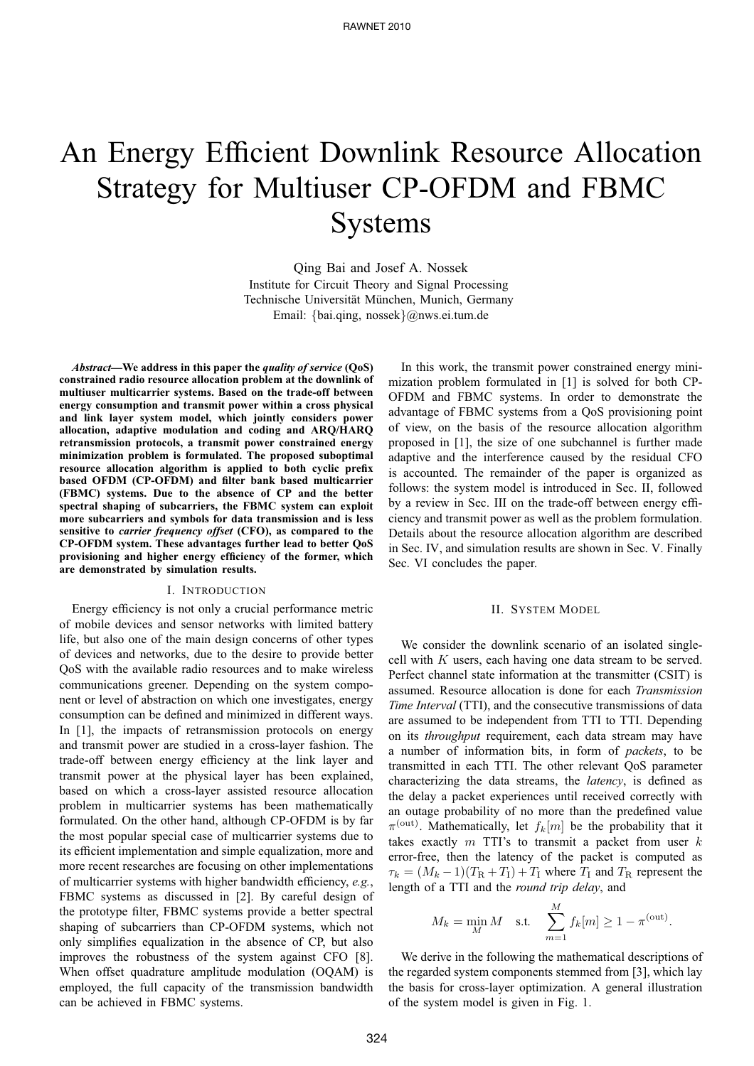# An Energy Efficient Downlink Resource Allocation Strategy for Multiuser CP-OFDM and FBMC Systems

Qing Bai and Josef A. Nossek Institute for Circuit Theory and Signal Processing Technische Universität München, Munich, Germany Email: {bai.qing, nossek}@nws.ei.tum.de

*Abstract***—We address in this paper the** *quality of service* **(QoS) constrained radio resource allocation problem at the downlink of multiuser multicarrier systems. Based on the trade-off between energy consumption and transmit power within a cross physical and link layer system model, which jointly considers power allocation, adaptive modulation and coding and ARQ/HARQ retransmission protocols, a transmit power constrained energy minimization problem is formulated. The proposed suboptimal resource allocation algorithm is applied to both cyclic prefix based OFDM (CP-OFDM) and filter bank based multicarrier (FBMC) systems. Due to the absence of CP and the better spectral shaping of subcarriers, the FBMC system can exploit more subcarriers and symbols for data transmission and is less sensitive to** *carrier frequency offset* **(CFO), as compared to the CP-OFDM system. These advantages further lead to better QoS provisioning and higher energy efficiency of the former, which are demonstrated by simulation results.**

#### I. INTRODUCTION

Energy efficiency is not only a crucial performance metric of mobile devices and sensor networks with limited battery life, but also one of the main design concerns of other types of devices and networks, due to the desire to provide better QoS with the available radio resources and to make wireless communications greener. Depending on the system component or level of abstraction on which one investigates, energy consumption can be defined and minimized in different ways. In [1], the impacts of retransmission protocols on energy and transmit power are studied in a cross-layer fashion. The trade-off between energy efficiency at the link layer and transmit power at the physical layer has been explained, based on which a cross-layer assisted resource allocation problem in multicarrier systems has been mathematically formulated. On the other hand, although CP-OFDM is by far the most popular special case of multicarrier systems due to its efficient implementation and simple equalization, more and more recent researches are focusing on other implementations of multicarrier systems with higher bandwidth efficiency, *e.g.*, FBMC systems as discussed in [2]. By careful design of the prototype filter, FBMC systems provide a better spectral shaping of subcarriers than CP-OFDM systems, which not only simplifies equalization in the absence of CP, but also improves the robustness of the system against CFO [8]. When offset quadrature amplitude modulation (OQAM) is employed, the full capacity of the transmission bandwidth can be achieved in FBMC systems.

In this work, the transmit power constrained energy minimization problem formulated in [1] is solved for both CP-OFDM and FBMC systems. In order to demonstrate the advantage of FBMC systems from a QoS provisioning point of view, on the basis of the resource allocation algorithm proposed in [1], the size of one subchannel is further made adaptive and the interference caused by the residual CFO is accounted. The remainder of the paper is organized as follows: the system model is introduced in Sec. II, followed by a review in Sec. III on the trade-off between energy efficiency and transmit power as well as the problem formulation. Details about the resource allocation algorithm are described in Sec. IV, and simulation results are shown in Sec. V. Finally Sec. VI concludes the paper.

#### II. SYSTEM MODEL

We consider the downlink scenario of an isolated singlecell with K users, each having one data stream to be served. Perfect channel state information at the transmitter (CSIT) is assumed. Resource allocation is done for each *Transmission Time Interval* (TTI), and the consecutive transmissions of data are assumed to be independent from TTI to TTI. Depending on its *throughput* requirement, each data stream may have a number of information bits, in form of *packets*, to be transmitted in each TTI. The other relevant QoS parameter characterizing the data streams, the *latency*, is defined as the delay a packet experiences until received correctly with an outage probability of no more than the predefined value  $\pi^{\text{(out)}}$ . Mathematically, let  $f_k[m]$  be the probability that it takes exactly  $m$  TTI's to transmit a packet from user  $k$ error-free, then the latency of the packet is computed as  $\tau_k = (M_k - 1)(T_R + T_I) + T_I$  where  $T_I$  and  $T_R$  represent the length of a TTI and the *round trip delay*, and

$$
M_k = \min_M M \quad \text{s.t.} \quad \sum_{m=1}^M f_k[m] \ge 1 - \pi^{\text{(out)}}.
$$

We derive in the following the mathematical descriptions of the regarded system components stemmed from [3], which lay the basis for cross-layer optimization. A general illustration of the system model is given in Fig. 1.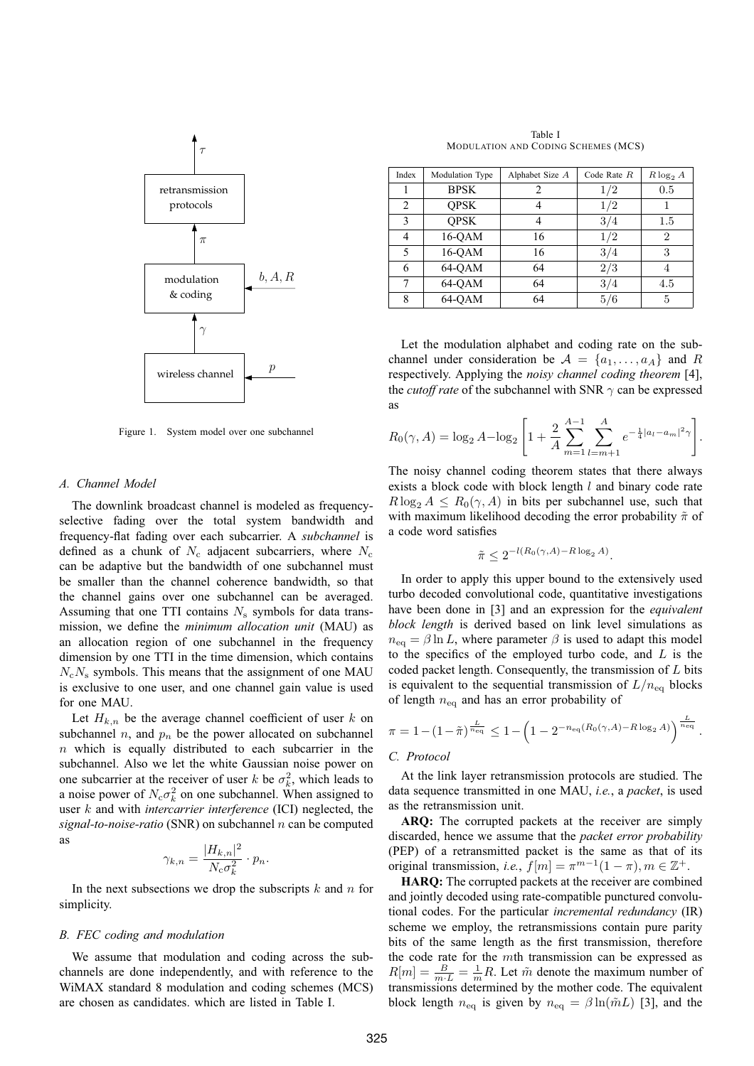

Figure 1. System model over one subchannel

#### *A. Channel Model*

The downlink broadcast channel is modeled as frequencyselective fading over the total system bandwidth and frequency-flat fading over each subcarrier. A *subchannel* is defined as a chunk of  $N_c$  adjacent subcarriers, where  $N_c$ can be adaptive but the bandwidth of one subchannel must be smaller than the channel coherence bandwidth, so that the channel gains over one subchannel can be averaged. Assuming that one TTI contains  $N<sub>s</sub>$  symbols for data transmission, we define the *minimum allocation unit* (MAU) as an allocation region of one subchannel in the frequency dimension by one TTI in the time dimension, which contains  $N_cN_s$  symbols. This means that the assignment of one MAU is exclusive to one user, and one channel gain value is used for one MAU.

Let  $H_{k,n}$  be the average channel coefficient of user k on subchannel  $n$ , and  $p_n$  be the power allocated on subchannel  $n$  which is equally distributed to each subcarrier in the subchannel. Also we let the white Gaussian noise power on one subcarrier at the receiver of user k be  $\sigma_k^2$ , which leads to a noise power of  $N_c \sigma_k^2$  on one subchannel. When assigned to user k and with *intercarrier interference* (ICI) neglected, the *signal-to-noise-ratio* (SNR) on subchannel n can be computed as

$$
\gamma_{k,n} = \frac{|H_{k,n}|^2}{N_{\rm c}\sigma_k^2} \cdot p_n.
$$

In the next subsections we drop the subscripts  $k$  and  $n$  for simplicity.

#### *B. FEC coding and modulation*

We assume that modulation and coding across the subchannels are done independently, and with reference to the WiMAX standard 8 modulation and coding schemes (MCS) are chosen as candidates. which are listed in Table I.

Table I MODULATION AND CODING SCHEMES (MCS)

| Index | Modulation Type | Alphabet Size A | Code Rate $R$ | $R \log_2 A$   |
|-------|-----------------|-----------------|---------------|----------------|
|       | <b>BPSK</b>     |                 | 1/2           | 0.5            |
| 2     | <b>OPSK</b>     |                 | 1/2           |                |
| 3     | <b>OPSK</b>     |                 | 3/4           | $1.5\,$        |
| 4     | 16-OAM          | 16              | 1/2           | $\overline{2}$ |
| 5     | $16-QAM$        | 16              | 3/4           | 3              |
| 6     | 64-QAM          | 64              | 2/3           | 4              |
|       | 64-OAM          | 64              | 3/4           | 4.5            |
| 8     | 64-OAM          | 64              | 5/6           | 5              |

Let the modulation alphabet and coding rate on the subchannel under consideration be  $A = \{a_1, \ldots, a_A\}$  and R respectively. Applying the *noisy channel coding theorem* [4], the *cutoff rate* of the subchannel with SNR  $\gamma$  can be expressed as

$$
R_0(\gamma, A) = \log_2 A - \log_2 \left[ 1 + \frac{2}{A} \sum_{m=1}^{A-1} \sum_{l=m+1}^{A} e^{-\frac{1}{4}|a_l - a_m|^2 \gamma} \right].
$$

The noisy channel coding theorem states that there always exists a block code with block length l and binary code rate  $R \log_2 A \leq R_0(\gamma, A)$  in bits per subchannel use, such that with maximum likelihood decoding the error probability  $\tilde{\pi}$  of a code word satisfies

$$
\tilde{\pi} \le 2^{-l(R_0(\gamma,A) - R \log_2 A)}.
$$

In order to apply this upper bound to the extensively used turbo decoded convolutional code, quantitative investigations have been done in [3] and an expression for the *equivalent block length* is derived based on link level simulations as  $n_{\text{eq}} = \beta \ln L$ , where parameter  $\beta$  is used to adapt this model to the specifics of the employed turbo code, and  $L$  is the coded packet length. Consequently, the transmission of  $L$  bits is equivalent to the sequential transmission of  $L/n_{\text{eq}}$  blocks of length  $n_{eq}$  and has an error probability of

$$
\pi = 1 - (1 - \tilde{\pi})^{\frac{L}{n_{\text{eq}}}} \leq 1 - \left(1 - 2^{-n_{\text{eq}}(R_0(\gamma, A) - R \log_2 A)}\right)^{\frac{L}{n_{\text{eq}}}}.
$$

## *C. Protocol*

At the link layer retransmission protocols are studied. The data sequence transmitted in one MAU, *i.e.*, a *packet*, is used as the retransmission unit.

**ARQ:** The corrupted packets at the receiver are simply discarded, hence we assume that the *packet error probability* (PEP) of a retransmitted packet is the same as that of its original transmission, *i.e.*,  $f[m] = \pi^{m-1}(1-\pi), m \in \mathbb{Z}^+$ .

**HARQ:** The corrupted packets at the receiver are combined and jointly decoded using rate-compatible punctured convolutional codes. For the particular *incremental redundancy* (IR) scheme we employ, the retransmissions contain pure parity bits of the same length as the first transmission, therefore the code rate for the mth transmission can be expressed as  $R[m] = \frac{B}{m \cdot L} = \frac{1}{m}R$ . Let  $\tilde{m}$  denote the maximum number of transmissions determined by the mother code. The equivalent block length  $n_{\text{eq}}$  is given by  $n_{\text{eq}} = \beta \ln(\tilde{m}L)$  [3], and the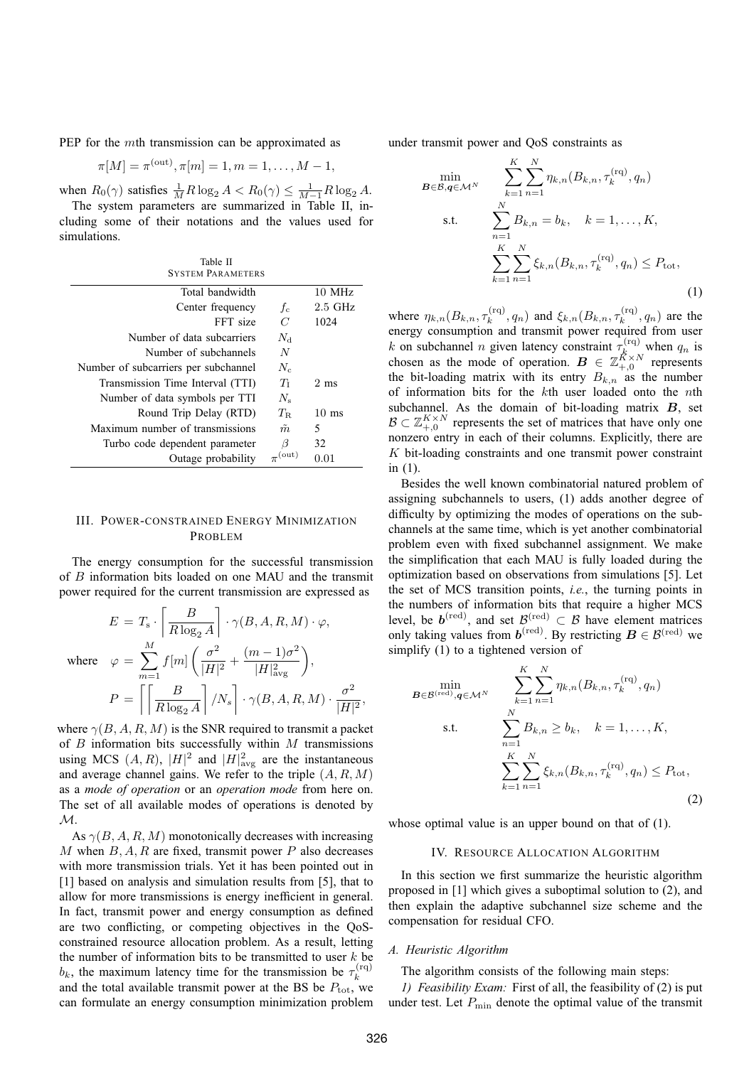PEP for the mth transmission can be approximated as

$$
\pi[M] = \pi^{(out)}, \pi[m] = 1, m = 1, \dots, M - 1,
$$

when  $R_0(\gamma)$  satisfies  $\frac{1}{M}R \log_2 A < R_0(\gamma) \leq \frac{1}{M-1}R \log_2 A$ .

The system parameters are summarized in Table II, including some of their notations and the values used for simulations.

| Table II                             |                      |                 |
|--------------------------------------|----------------------|-----------------|
| <b>SYSTEM PARAMETERS</b>             |                      |                 |
| Total bandwidth                      |                      | $10$ MHz        |
| Center frequency                     | $f_c$                | $2.5$ GHz       |
| FFT size                             | $\overline{C}$       | 1024            |
| Number of data subcarriers           | $N_{\rm d}$          |                 |
| Number of subchannels                | $\boldsymbol{N}$     |                 |
| Number of subcarriers per subchannel | $N_c$                |                 |
| Transmission Time Interval (TTI)     | Ŧт                   | $2 \text{ ms}$  |
| Number of data symbols per TTI       | $N_{\rm s}$          |                 |
| Round Trip Delay (RTD)               | $T_{\rm R}$          | $10 \text{ ms}$ |
| Maximum number of transmissions      | $\tilde{m}$          | 5               |
| Turbo code dependent parameter       | β                    | 32              |
| Outage probability                   | $\pi^{\text{(out)}}$ | 0.01            |

#### III. POWER-CONSTRAINED ENERGY MINIMIZATION PROBLEM

The energy consumption for the successful transmission of B information bits loaded on one MAU and the transmit power required for the current transmission are expressed as

$$
E = T_{\rm s} \cdot \left[ \frac{B}{R \log_2 A} \right] \cdot \gamma(B, A, R, M) \cdot \varphi,
$$
  
where 
$$
\varphi = \sum_{m=1}^{M} f[m] \left( \frac{\sigma^2}{|H|^2} + \frac{(m-1)\sigma^2}{|H|^2_{\text{avg}}} \right),
$$

$$
P = \left[ \left[ \frac{B}{R \log_2 A} \right] / N_s \right] \cdot \gamma(B, A, R, M) \cdot \frac{\sigma^2}{|H|^2},
$$

where  $\gamma(B, A, R, M)$  is the SNR required to transmit a packet of  $B$  information bits successfully within  $M$  transmissions using MCS  $(A, R)$ ,  $|H|^2$  and  $|H|^2$ <sub>avg</sub> are the instantaneous and average channel gains. We refer to the triple  $(A, R, M)$ as a *mode of operation* or an *operation mode* from here on. The set of all available modes of operations is denoted by  $\mathcal{M}.$ 

As  $\gamma(B, A, R, M)$  monotonically decreases with increasing M when  $B, A, R$  are fixed, transmit power P also decreases with more transmission trials. Yet it has been pointed out in [1] based on analysis and simulation results from [5], that to allow for more transmissions is energy inefficient in general. In fact, transmit power and energy consumption as defined are two conflicting, or competing objectives in the QoSconstrained resource allocation problem. As a result, letting the number of information bits to be transmitted to user  $k$  be  $b_k$ , the maximum latency time for the transmission be  $\tau_k^{(rq)}$ k and the total available transmit power at the BS be  $P_{\text{tot}}$ , we can formulate an energy consumption minimization problem under transmit power and QoS constraints as

$$
\min_{\mathbf{B}\in\mathcal{B},\mathbf{q}\in\mathcal{M}^N} \sum_{k=1}^K \sum_{n=1}^N \eta_{k,n} (B_{k,n}, \tau_k^{(\mathrm{rq})}, q_n)
$$
\ns.t. 
$$
\sum_{n=1}^N B_{k,n} = b_k, \quad k = 1, ..., K,
$$
\n
$$
\sum_{k=1}^K \sum_{n=1}^N \xi_{k,n} (B_{k,n}, \tau_k^{(\mathrm{rq})}, q_n) \le P_{\mathrm{tot}},
$$
\n(1)

where  $\eta_{k,n}(B_{k,n}, \tau_k^{(rq)})$  $\zeta_k^{\text{(rq)}}, q_n)$  and  $\xi_{k,n} (B_{k,n}, \tau_k^{\text{(rq)}})$  $\mathbf{q}_k^{(rq)}$ ,  $q_n$ ) are the energy consumption and transmit power required from user k on subchannel n given latency constraint  $\tau_k^{(rq)}$  when  $q_n$  is chosen as the mode of operation.  $\mathbf{B} \in \mathbb{Z}_{+,0}^{K \times N}$  represents the bit-loading matrix with its entry  $B_{k,n}$  as the number of information bits for the kth user loaded onto the nth subchannel. As the domain of bit-loading matrix  $B$ , set  $\mathcal{B} \subset \mathbb{Z}_{+,0}^{K \times N}$  represents the set of matrices that have only one nonzero entry in each of their columns. Explicitly, there are  $K$  bit-loading constraints and one transmit power constraint in (1).

Besides the well known combinatorial natured problem of assigning subchannels to users, (1) adds another degree of difficulty by optimizing the modes of operations on the subchannels at the same time, which is yet another combinatorial problem even with fixed subchannel assignment. We make the simplification that each MAU is fully loaded during the optimization based on observations from simulations [5]. Let the set of MCS transition points, *i.e.*, the turning points in the numbers of information bits that require a higher MCS level, be  $b^{(\text{red})}$ , and set  $\mathcal{B}^{(\text{red})} \subset \mathcal{B}$  have element matrices only taking values from  $\boldsymbol{b}^{\text{(red)}}$ . By restricting  $\boldsymbol{B} \in \mathcal{B}^{\text{(red)}}$  we simplify (1) to a tightened version of

$$
\min_{\mathbf{B} \in \mathcal{B}^{(\text{red})}, \mathbf{q} \in \mathcal{M}^N} \sum_{k=1}^K \sum_{n=1}^N \eta_{k,n} (B_{k,n}, \tau_k^{(\text{rq})}, q_n)
$$
\ns.t. 
$$
\sum_{n=1}^N B_{k,n} \ge b_k, \quad k = 1, ..., K,
$$
\n
$$
\sum_{k=1}^K \sum_{n=1}^N \xi_{k,n} (B_{k,n}, \tau_k^{(\text{rq})}, q_n) \le P_{\text{tot}},
$$
\n(2)

whose optimal value is an upper bound on that of (1).

#### IV. RESOURCE ALLOCATION ALGORITHM

In this section we first summarize the heuristic algorithm proposed in [1] which gives a suboptimal solution to (2), and then explain the adaptive subchannel size scheme and the compensation for residual CFO.

#### *A. Heuristic Algorithm*

The algorithm consists of the following main steps:

*1) Feasibility Exam:* First of all, the feasibility of (2) is put under test. Let  $P_{\text{min}}$  denote the optimal value of the transmit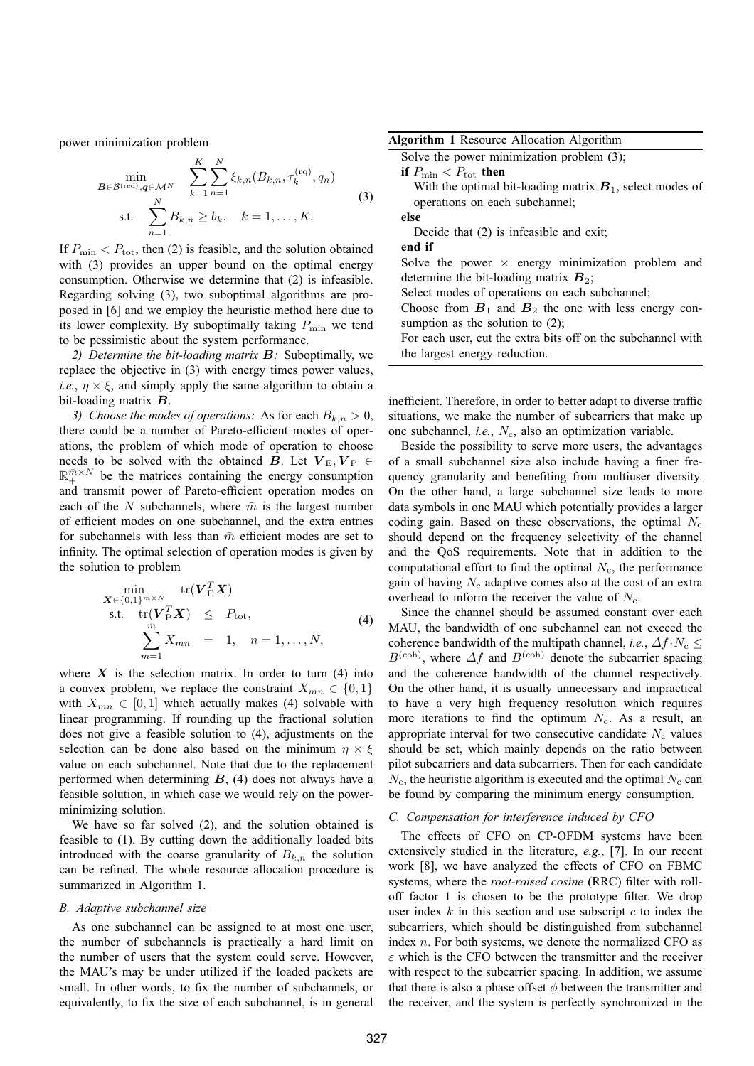power minimization problem

$$
\min_{\substack{B \in \mathcal{B}^{(\text{red})}, q \in \mathcal{M}^N \\ N}} \sum_{k=1}^K \sum_{n=1}^N \xi_{k,n}(B_{k,n}, \tau_k^{(\text{rq})}, q_n)
$$
\ns.t. 
$$
\sum_{n=1}^N B_{k,n} \ge b_k, \quad k = 1, ..., K.
$$
\n(3)

If  $P_{\text{min}} < P_{\text{tot}}$ , then (2) is feasible, and the solution obtained with (3) provides an upper bound on the optimal energy consumption. Otherwise we determine that (2) is infeasible. Regarding solving (3), two suboptimal algorithms are proposed in [6] and we employ the heuristic method here due to its lower complexity. By suboptimally taking  $P_{\text{min}}$  we tend to be pessimistic about the system performance.

*2) Determine the bit-loading matrix* B*:* Suboptimally, we replace the objective in (3) with energy times power values, *i.e.*,  $\eta \times \xi$ , and simply apply the same algorithm to obtain a bit-loading matrix B.

*3)* Choose the modes of operations: As for each  $B_{k,n} > 0$ , there could be a number of Pareto-efficient modes of operations, the problem of which mode of operation to choose needs to be solved with the obtained B. Let  $V_{\rm E}$ ,  $V_{\rm P} \in$  $\mathbb{R}^{\bar{m} \times N}_{+}$  be the matrices containing the energy consumption and transmit power of Pareto-efficient operation modes on each of the N subchannels, where  $\bar{m}$  is the largest number of efficient modes on one subchannel, and the extra entries for subchannels with less than  $\bar{m}$  efficient modes are set to infinity. The optimal selection of operation modes is given by the solution to problem

$$
\begin{array}{ll}\n\min_{\mathbf{X} \in \{0,1\}^{m \times N}} & \text{tr}(\mathbf{V}_{\mathbf{E}}^T \mathbf{X}) \\
\text{s.t.} & \text{tr}(\mathbf{V}_{\mathbf{P}}^T \mathbf{X}) \leq P_{\text{tot}}, \\
& \sum_{m=1}^{\bar{m}} X_{mn} = 1, \quad n = 1, \dots, N,\n\end{array} \tag{4}
$$

where  $X$  is the selection matrix. In order to turn (4) into a convex problem, we replace the constraint  $X_{mn} \in \{0,1\}$ with  $X_{mn} \in [0, 1]$  which actually makes (4) solvable with linear programming. If rounding up the fractional solution does not give a feasible solution to (4), adjustments on the selection can be done also based on the minimum  $\eta \times \xi$ value on each subchannel. Note that due to the replacement performed when determining  $B$ , (4) does not always have a feasible solution, in which case we would rely on the powerminimizing solution.

We have so far solved (2), and the solution obtained is feasible to (1). By cutting down the additionally loaded bits introduced with the coarse granularity of  $B_{k,n}$  the solution can be refined. The whole resource allocation procedure is summarized in Algorithm 1.

#### *B. Adaptive subchannel size*

As one subchannel can be assigned to at most one user, the number of subchannels is practically a hard limit on the number of users that the system could serve. However, the MAU's may be under utilized if the loaded packets are small. In other words, to fix the number of subchannels, or equivalently, to fix the size of each subchannel, is in general

| <b>Algorithm 1 Resource Allocation Algorithm</b> |  |  |
|--------------------------------------------------|--|--|
|                                                  |  |  |

Solve the power minimization problem  $(3)$ ; **if**  $P_{\text{min}} < P_{\text{tot}}$  **then** 

With the optimal bit-loading matrix  $B_1$ , select modes of operations on each subchannel;

**else**

Decide that (2) is infeasible and exit;

**end if**

Solve the power  $\times$  energy minimization problem and determine the bit-loading matrix  $B_2$ ;

Select modes of operations on each subchannel;

Choose from  $B_1$  and  $B_2$  the one with less energy consumption as the solution to  $(2)$ ;

For each user, cut the extra bits off on the subchannel with the largest energy reduction.

inefficient. Therefore, in order to better adapt to diverse traffic situations, we make the number of subcarriers that make up one subchannel, *i.e.*,  $N_c$ , also an optimization variable.

Beside the possibility to serve more users, the advantages of a small subchannel size also include having a finer frequency granularity and benefiting from multiuser diversity. On the other hand, a large subchannel size leads to more data symbols in one MAU which potentially provides a larger coding gain. Based on these observations, the optimal  $N_c$ should depend on the frequency selectivity of the channel and the QoS requirements. Note that in addition to the computational effort to find the optimal  $N_c$ , the performance gain of having  $N_c$  adaptive comes also at the cost of an extra overhead to inform the receiver the value of  $N_c$ .

Since the channel should be assumed constant over each MAU, the bandwidth of one subchannel can not exceed the coherence bandwidth of the multipath channel, *i.e.*,  $\Delta f \cdot N_c \leq$  $B^{(\text{coh})}$ , where  $\Delta f$  and  $B^{(\text{coh})}$  denote the subcarrier spacing and the coherence bandwidth of the channel respectively. On the other hand, it is usually unnecessary and impractical to have a very high frequency resolution which requires more iterations to find the optimum  $N_c$ . As a result, an appropriate interval for two consecutive candidate  $N_c$  values should be set, which mainly depends on the ratio between pilot subcarriers and data subcarriers. Then for each candidate  $N_c$ , the heuristic algorithm is executed and the optimal  $N_c$  can be found by comparing the minimum energy consumption.

#### *C. Compensation for interference induced by CFO*

The effects of CFO on CP-OFDM systems have been extensively studied in the literature, *e.g.*, [7]. In our recent work [8], we have analyzed the effects of CFO on FBMC systems, where the *root-raised cosine* (RRC) filter with rolloff factor 1 is chosen to be the prototype filter. We drop user index  $k$  in this section and use subscript  $c$  to index the subcarriers, which should be distinguished from subchannel index n. For both systems, we denote the normalized CFO as  $\varepsilon$  which is the CFO between the transmitter and the receiver with respect to the subcarrier spacing. In addition, we assume that there is also a phase offset  $\phi$  between the transmitter and the receiver, and the system is perfectly synchronized in the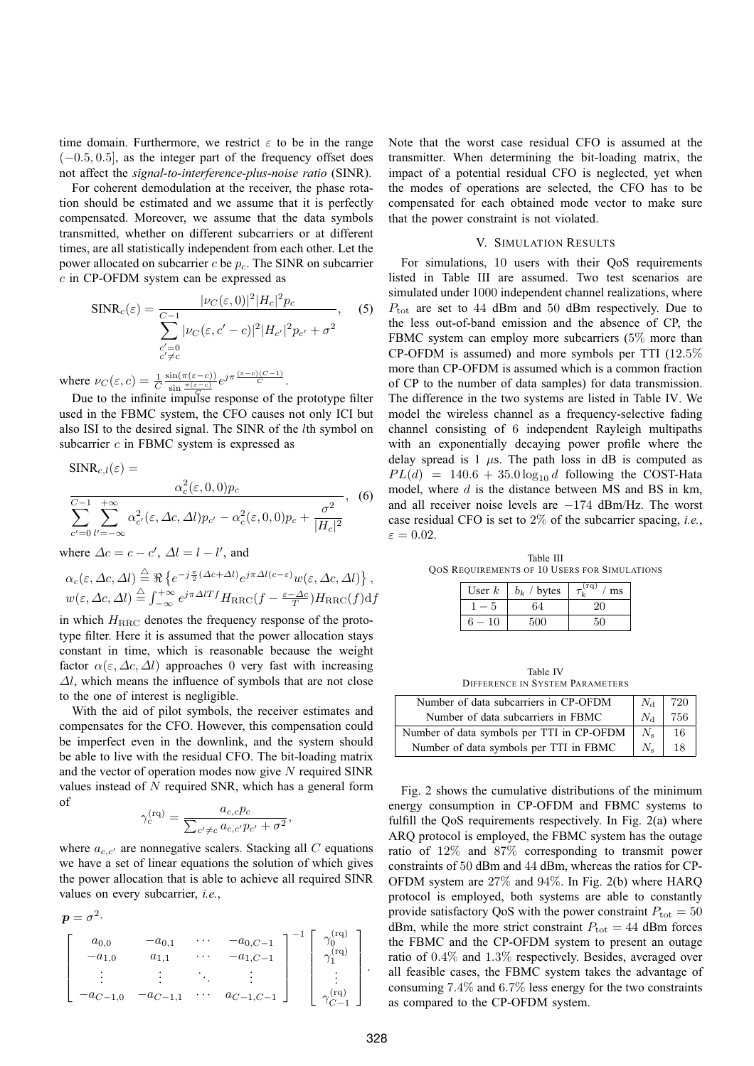time domain. Furthermore, we restrict  $\varepsilon$  to be in the range  $(-0.5, 0.5]$ , as the integer part of the frequency offset does not affect the *signal-to-interference-plus-noise ratio* (SINR).

For coherent demodulation at the receiver, the phase rotation should be estimated and we assume that it is perfectly compensated. Moreover, we assume that the data symbols transmitted, whether on different subcarriers or at different times, are all statistically independent from each other. Let the power allocated on subcarrier  $c$  be  $p_c$ . The SINR on subcarrier c in CP-OFDM system can be expressed as

$$
SINR_c(\varepsilon) = \frac{|\nu_C(\varepsilon, 0)|^2 |H_c|^2 p_c}{\sum_{\substack{c'=0 \ c' \neq c}}^{\infty} |\nu_C(\varepsilon, c' - c)|^2 |H_{c'}|^2 p_{c'} + \sigma^2}, \quad (5)
$$

where  $\nu_C(\varepsilon, c) = \frac{1}{C}$  $\frac{\sin(\pi(\varepsilon-c))}{\sin\frac{\pi(\varepsilon-c)}{C}}e^{j\pi\frac{(\varepsilon-c)(C-1)}{C}}$ .

Due to the infinite impulse response of the prototype filter used in the FBMC system, the CFO causes not only ICI but also ISI to the desired signal. The SINR of the lth symbol on subcarrier  $c$  in FBMC system is expressed as

$$
SINR_{c,l}(\varepsilon) = \frac{\alpha_c^2(\varepsilon, 0, 0)p_c}{\sum_{c'=0}^{C-1} \sum_{l'=-\infty}^{+\infty} \alpha_{c'}^2(\varepsilon, \Delta c, \Delta l)p_{c'} - \alpha_c^2(\varepsilon, 0, 0)p_c + \frac{\sigma^2}{|H_c|^2}},
$$
(6)

where  $\Delta c = c - c'$ ,  $\Delta l = l - l'$ , and

$$
\alpha_c(\varepsilon, \Delta c, \Delta l) \stackrel{\triangle}{=} \Re \left\{ e^{-j\frac{\pi}{2}(\Delta c + \Delta l)} e^{j\pi \Delta l (c - \varepsilon)} w(\varepsilon, \Delta c, \Delta l) \right\},
$$
  

$$
w(\varepsilon, \Delta c, \Delta l) \stackrel{\triangle}{=} \int_{-\infty}^{+\infty} e^{j\pi \Delta l T f} H_{\text{RRC}}(f - \frac{\varepsilon - \Delta c}{T}) H_{\text{RRC}}(f) df
$$

in which  $H<sub>RRC</sub>$  denotes the frequency response of the prototype filter. Here it is assumed that the power allocation stays constant in time, which is reasonable because the weight factor  $\alpha(\varepsilon, \Delta c, \Delta l)$  approaches 0 very fast with increasing  $\Delta l$ , which means the influence of symbols that are not close to the one of interest is negligible.

With the aid of pilot symbols, the receiver estimates and compensates for the CFO. However, this compensation could be imperfect even in the downlink, and the system should be able to live with the residual CFO. The bit-loading matrix and the vector of operation modes now give  $N$  required SINR values instead of N required SNR, which has a general form of

$$
\gamma_c^{\rm (rq)}=\frac{a_{c,c}p_c}{\sum_{c'\neq c}a_{c,c'}p_{c'}+\sigma^2},
$$

where  $a_{c,c'}$  are nonnegative scalers. Stacking all C equations we have a set of linear equations the solution of which gives the power allocation that is able to achieve all required SINR values on every subcarrier, *i.e.*,

$$
\mathbf{p} = \sigma^2.
$$
\n
$$
\begin{bmatrix}\na_{0,0} & -a_{0,1} & \cdots & -a_{0,C-1} \\
-a_{1,0} & a_{1,1} & \cdots & -a_{1,C-1} \\
\vdots & \vdots & \ddots & \vdots \\
-a_{C-1,0} & -a_{C-1,1} & \cdots & a_{C-1,C-1}\n\end{bmatrix}^{-1} \begin{bmatrix}\n\gamma_0^{(rq)} \\
\gamma_1^{(rq)} \\
\vdots \\
\gamma_{C-1}^{(rq)}\n\end{bmatrix}.
$$

Note that the worst case residual CFO is assumed at the transmitter. When determining the bit-loading matrix, the impact of a potential residual CFO is neglected, yet when the modes of operations are selected, the CFO has to be compensated for each obtained mode vector to make sure that the power constraint is not violated.

## V. SIMULATION RESULTS

For simulations, 10 users with their QoS requirements listed in Table III are assumed. Two test scenarios are simulated under 1000 independent channel realizations, where  $P_{\text{tot}}$  are set to 44 dBm and 50 dBm respectively. Due to the less out-of-band emission and the absence of CP, the FBMC system can employ more subcarriers (5% more than CP-OFDM is assumed) and more symbols per TTI (12.5% more than CP-OFDM is assumed which is a common fraction of CP to the number of data samples) for data transmission. The difference in the two systems are listed in Table IV. We model the wireless channel as a frequency-selective fading channel consisting of 6 independent Rayleigh multipaths with an exponentially decaying power profile where the delay spread is  $1 \mu s$ . The path loss in dB is computed as  $PL(d) = 140.6 + 35.0 \log_{10} d$  following the COST-Hata model, where  $d$  is the distance between MS and BS in km, and all receiver noise levels are −174 dBm/Hz. The worst case residual CFO is set to 2% of the subcarrier spacing, *i.e.*,  $\varepsilon = 0.02$ .

Table III QOS REQUIREMENTS OF 10 USERS FOR SIMULATIONS

| User $k$ | $b_k$ / bytes | (rq)<br>$\prime$ ms |
|----------|---------------|---------------------|
|          |               |                     |
| 10       |               |                     |

Table IV DIFFERENCE IN SYSTEM PARAMETERS

| Number of data subcarriers in CP-OFDM     | $N_{\rm d}$ | 720 |
|-------------------------------------------|-------------|-----|
| Number of data subcarriers in FBMC        | $N_A$       | 756 |
| Number of data symbols per TTI in CP-OFDM | $N_{\rm e}$ | 16  |
| Number of data symbols per TTI in FBMC    |             | 18  |

Fig. 2 shows the cumulative distributions of the minimum energy consumption in CP-OFDM and FBMC systems to fulfill the QoS requirements respectively. In Fig. 2(a) where ARQ protocol is employed, the FBMC system has the outage ratio of 12% and 87% corresponding to transmit power constraints of 50 dBm and 44 dBm, whereas the ratios for CP-OFDM system are 27% and 94%. In Fig. 2(b) where HARQ protocol is employed, both systems are able to constantly provide satisfactory QoS with the power constraint  $P_{\text{tot}} = 50$ dBm, while the more strict constraint  $P_{\text{tot}} = 44$  dBm forces the FBMC and the CP-OFDM system to present an outage ratio of 0.4% and 1.3% respectively. Besides, averaged over all feasible cases, the FBMC system takes the advantage of consuming 7.4% and 6.7% less energy for the two constraints as compared to the CP-OFDM system.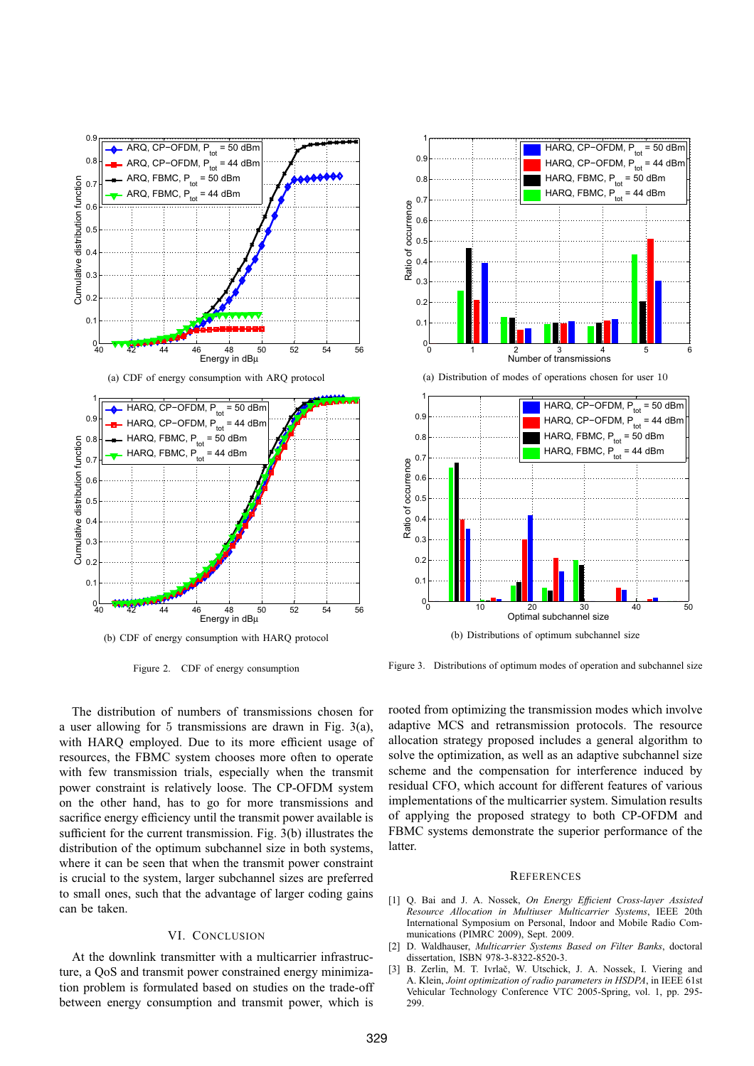

(b) CDF of energy consumption with HARQ protocol

Figure 2. CDF of energy consumption



**REFERENCES** 

- [1] Q. Bai and J. A. Nossek, *On Energy Efficient Cross-layer Assisted Resource Allocation in Multiuser Multicarrier Systems*, IEEE 20th International Symposium on Personal, Indoor and Mobile Radio Communications (PIMRC 2009), Sept. 2009.
- [2] D. Waldhauser, *Multicarrier Systems Based on Filter Banks*, doctoral dissertation, ISBN 978-3-8322-8520-3.
- [3] B. Zerlin, M. T. Ivrlač, W. Utschick, J. A. Nossek, I. Viering and A. Klein, *Joint optimization of radio parameters in HSDPA*, in IEEE 61st Vehicular Technology Conference VTC 2005-Spring, vol. 1, pp. 295- 299.



0 1 2 3 4 5 6 Number of transmissions

 $0.1$  $0.2$ 0.3  $0.4$  $0.5$  $0.\overline{6}$  $0.7$  $0.8$ 0.9 1

Ratio of occurrence

Ratio of occurrence

(a) Distribution of modes of operations chosen for user 10

HARQ, CP−OFDM,  $P_{\text{tot}} = 50$  dBm HARQ, CP−OFDM,  $P_{\text{tot}}$  = 44 dBm HARQ, FBMC,  $P_{\text{tot}} = 50$  dBm HARQ, FBMC,  $P_{tot} = 44$  dBm



Figure 3. Distributions of optimum modes of operation and subchannel size

The distribution of numbers of transmissions chosen for a user allowing for 5 transmissions are drawn in Fig. 3(a), with HARQ employed. Due to its more efficient usage of resources, the FBMC system chooses more often to operate with few transmission trials, especially when the transmit power constraint is relatively loose. The CP-OFDM system on the other hand, has to go for more transmissions and sacrifice energy efficiency until the transmit power available is sufficient for the current transmission. Fig. 3(b) illustrates the distribution of the optimum subchannel size in both systems, where it can be seen that when the transmit power constraint is crucial to the system, larger subchannel sizes are preferred to small ones, such that the advantage of larger coding gains can be taken.

## VI. CONCLUSION

At the downlink transmitter with a multicarrier infrastructure, a QoS and transmit power constrained energy minimization problem is formulated based on studies on the trade-off between energy consumption and transmit power, which is